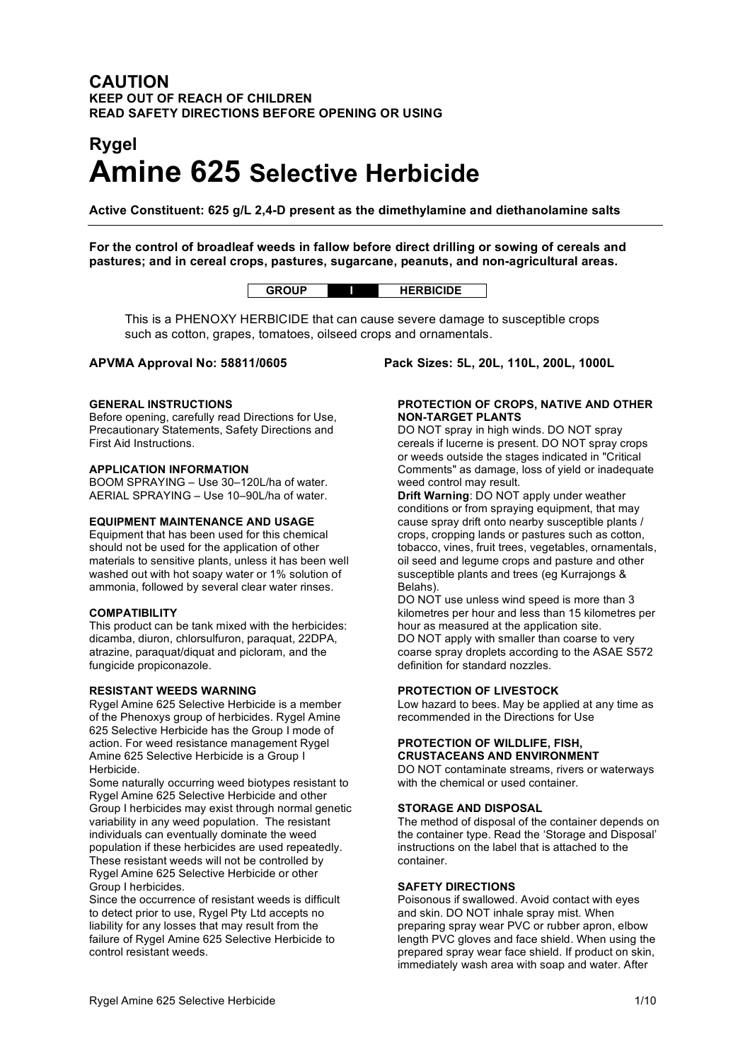# **CAUTION KEEP OUT OF REACH OF CHILDREN READ SAFETY DIRECTIONS BEFORE OPENING OR USING**

# **Rygel Amine 625 Selective Herbicide**

**Active Constituent: 625 g/L 2,4-D present as the dimethylamine and diethanolamine salts**

**For the control of broadleaf weeds in fallow before direct drilling or sowing of cereals and pastures; and in cereal crops, pastures, sugarcane, peanuts, and non-agricultural areas.**

# **GROUP I HERBICIDE**

This is a PHENOXY HERBICIDE that can cause severe damage to susceptible crops such as cotton, grapes, tomatoes, oilseed crops and ornamentals.

#### **GENERAL INSTRUCTIONS**

Before opening, carefully read Directions for Use, Precautionary Statements, Safety Directions and First Aid Instructions.

### **APPLICATION INFORMATION**

BOOM SPRAYING – Use 30–120L/ha of water. AERIAL SPRAYING – Use 10–90L/ha of water.

#### **EQUIPMENT MAINTENANCE AND USAGE**

Equipment that has been used for this chemical should not be used for the application of other materials to sensitive plants, unless it has been well washed out with hot soapy water or 1% solution of ammonia, followed by several clear water rinses.

#### **COMPATIBILITY**

This product can be tank mixed with the herbicides: dicamba, diuron, chlorsulfuron, paraquat, 22DPA, atrazine, paraquat/diquat and picloram, and the fungicide propiconazole.

#### **RESISTANT WEEDS WARNING**

Rygel Amine 625 Selective Herbicide is a member of the Phenoxys group of herbicides. Rygel Amine 625 Selective Herbicide has the Group I mode of action. For weed resistance management Rygel Amine 625 Selective Herbicide is a Group I Herbicide.

Some naturally occurring weed biotypes resistant to Rygel Amine 625 Selective Herbicide and other Group I herbicides may exist through normal genetic variability in any weed population. The resistant individuals can eventually dominate the weed population if these herbicides are used repeatedly. These resistant weeds will not be controlled by Rygel Amine 625 Selective Herbicide or other Group I herbicides.

Since the occurrence of resistant weeds is difficult to detect prior to use, Rygel Pty Ltd accepts no liability for any losses that may result from the failure of Rygel Amine 625 Selective Herbicide to control resistant weeds.

**APVMA Approval No: 58811/0605 Pack Sizes: 5L, 20L, 110L, 200L, 1000L**

#### **PROTECTION OF CROPS, NATIVE AND OTHER NON-TARGET PLANTS**

DO NOT spray in high winds. DO NOT spray cereals if lucerne is present. DO NOT spray crops or weeds outside the stages indicated in "Critical Comments" as damage, loss of yield or inadequate weed control may result.

**Drift Warning**: DO NOT apply under weather conditions or from spraying equipment, that may cause spray drift onto nearby susceptible plants / crops, cropping lands or pastures such as cotton, tobacco, vines, fruit trees, vegetables, ornamentals, oil seed and legume crops and pasture and other susceptible plants and trees (eg Kurrajongs & Belahs).

DO NOT use unless wind speed is more than 3 kilometres per hour and less than 15 kilometres per hour as measured at the application site. DO NOT apply with smaller than coarse to very coarse spray droplets according to the ASAE S572 definition for standard nozzles.

#### **PROTECTION OF LIVESTOCK**

Low hazard to bees. May be applied at any time as recommended in the Directions for Use

#### **PROTECTION OF WILDLIFE, FISH, CRUSTACEANS AND ENVIRONMENT**

DO NOT contaminate streams, rivers or waterways with the chemical or used container.

#### **STORAGE AND DISPOSAL**

The method of disposal of the container depends on the container type. Read the 'Storage and Disposal' instructions on the label that is attached to the container.

#### **SAFETY DIRECTIONS**

Poisonous if swallowed. Avoid contact with eyes and skin. DO NOT inhale spray mist. When preparing spray wear PVC or rubber apron, elbow length PVC gloves and face shield. When using the prepared spray wear face shield. If product on skin, immediately wash area with soap and water. After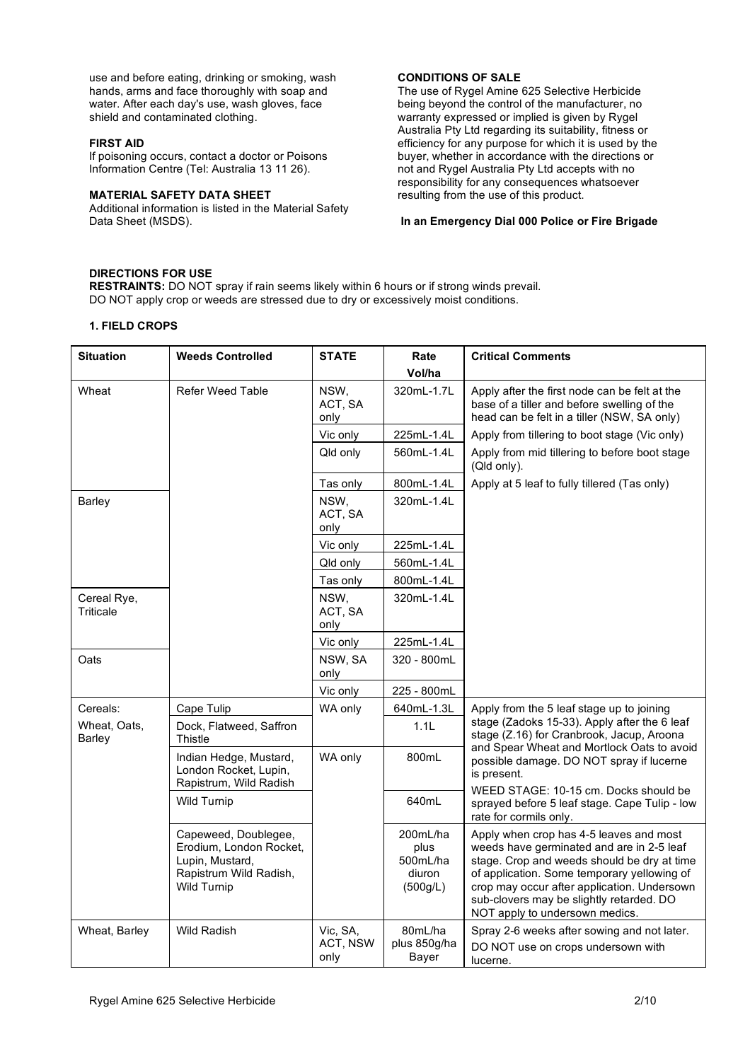use and before eating, drinking or smoking, wash hands, arms and face thoroughly with soap and water. After each day's use, wash gloves, face shield and contaminated clothing.

#### **FIRST AID**

If poisoning occurs, contact a doctor or Poisons Information Centre (Tel: Australia 13 11 26).

#### **MATERIAL SAFETY DATA SHEET**

Additional information is listed in the Material Safety Data Sheet (MSDS).

### **CONDITIONS OF SALE**

The use of Rygel Amine 625 Selective Herbicide being beyond the control of the manufacturer, no warranty expressed or implied is given by Rygel Australia Pty Ltd regarding its suitability, fitness or efficiency for any purpose for which it is used by the buyer, whether in accordance with the directions or not and Rygel Australia Pty Ltd accepts with no responsibility for any consequences whatsoever resulting from the use of this product.

#### **In an Emergency Dial 000 Police or Fire Brigade**

# **DIRECTIONS FOR USE**

**RESTRAINTS:** DO NOT spray if rain seems likely within 6 hours or if strong winds prevail. DO NOT apply crop or weeds are stressed due to dry or excessively moist conditions.

#### **1. FIELD CROPS**

| <b>Situation</b>         | <b>Weeds Controlled</b>                                                                                            | <b>STATE</b>                 | Rate<br>Vol/ha                                     | <b>Critical Comments</b>                                                                                                                                                                                                                                                                                        |
|--------------------------|--------------------------------------------------------------------------------------------------------------------|------------------------------|----------------------------------------------------|-----------------------------------------------------------------------------------------------------------------------------------------------------------------------------------------------------------------------------------------------------------------------------------------------------------------|
| Wheat                    | <b>Refer Weed Table</b>                                                                                            | NSW,<br>ACT, SA<br>only      | 320mL-1.7L                                         | Apply after the first node can be felt at the<br>base of a tiller and before swelling of the<br>head can be felt in a tiller (NSW, SA only)                                                                                                                                                                     |
|                          |                                                                                                                    | Vic only                     | 225mL-1.4L                                         | Apply from tillering to boot stage (Vic only)                                                                                                                                                                                                                                                                   |
|                          |                                                                                                                    | Qld only                     | 560mL-1.4L                                         | Apply from mid tillering to before boot stage<br>(Qld only).                                                                                                                                                                                                                                                    |
|                          |                                                                                                                    | Tas only                     | 800mL-1.4L                                         | Apply at 5 leaf to fully tillered (Tas only)                                                                                                                                                                                                                                                                    |
| Barley                   |                                                                                                                    | NSW,<br>ACT, SA<br>only      | 320mL-1.4L                                         |                                                                                                                                                                                                                                                                                                                 |
|                          |                                                                                                                    | Vic only                     | 225mL-1.4L                                         |                                                                                                                                                                                                                                                                                                                 |
|                          |                                                                                                                    | Qld only                     | 560mL-1.4L                                         |                                                                                                                                                                                                                                                                                                                 |
|                          |                                                                                                                    | Tas only                     | 800mL-1.4L                                         |                                                                                                                                                                                                                                                                                                                 |
| Cereal Rye,<br>Triticale |                                                                                                                    | NSW,<br>ACT, SA<br>only      | 320mL-1.4L                                         |                                                                                                                                                                                                                                                                                                                 |
|                          |                                                                                                                    | Vic only                     | 225mL-1.4L                                         |                                                                                                                                                                                                                                                                                                                 |
| Oats                     |                                                                                                                    | NSW, SA<br>only              | 320 - 800mL                                        |                                                                                                                                                                                                                                                                                                                 |
|                          |                                                                                                                    | Vic only                     | 225 - 800mL                                        |                                                                                                                                                                                                                                                                                                                 |
| Cereals:                 | Cape Tulip                                                                                                         | WA only                      | 640mL-1.3L                                         | Apply from the 5 leaf stage up to joining                                                                                                                                                                                                                                                                       |
| Wheat, Oats,<br>Barley   | Dock, Flatweed, Saffron<br>Thistle                                                                                 |                              | 1.1L                                               | stage (Zadoks 15-33). Apply after the 6 leaf<br>stage (Z.16) for Cranbrook, Jacup, Aroona<br>and Spear Wheat and Mortlock Oats to avoid                                                                                                                                                                         |
|                          | Indian Hedge, Mustard,<br>London Rocket, Lupin,<br>Rapistrum, Wild Radish                                          | WA only                      | 800mL                                              | possible damage. DO NOT spray if lucerne<br>is present.                                                                                                                                                                                                                                                         |
|                          | <b>Wild Turnip</b>                                                                                                 |                              | 640mL                                              | WEED STAGE: 10-15 cm. Docks should be<br>sprayed before 5 leaf stage. Cape Tulip - low<br>rate for cormils only.                                                                                                                                                                                                |
|                          | Capeweed, Doublegee,<br>Erodium, London Rocket,<br>Lupin, Mustard,<br>Rapistrum Wild Radish,<br><b>Wild Turnip</b> |                              | 200mL/ha<br>plus<br>500mL/ha<br>diuron<br>(500g/L) | Apply when crop has 4-5 leaves and most<br>weeds have germinated and are in 2-5 leaf<br>stage. Crop and weeds should be dry at time<br>of application. Some temporary yellowing of<br>crop may occur after application. Undersown<br>sub-clovers may be slightly retarded. DO<br>NOT apply to undersown medics. |
| Wheat, Barley            | Wild Radish                                                                                                        | Vic, SA,<br>ACT, NSW<br>only | 80mL/ha<br>plus 850g/ha<br>Bayer                   | Spray 2-6 weeks after sowing and not later.<br>DO NOT use on crops undersown with<br>lucerne.                                                                                                                                                                                                                   |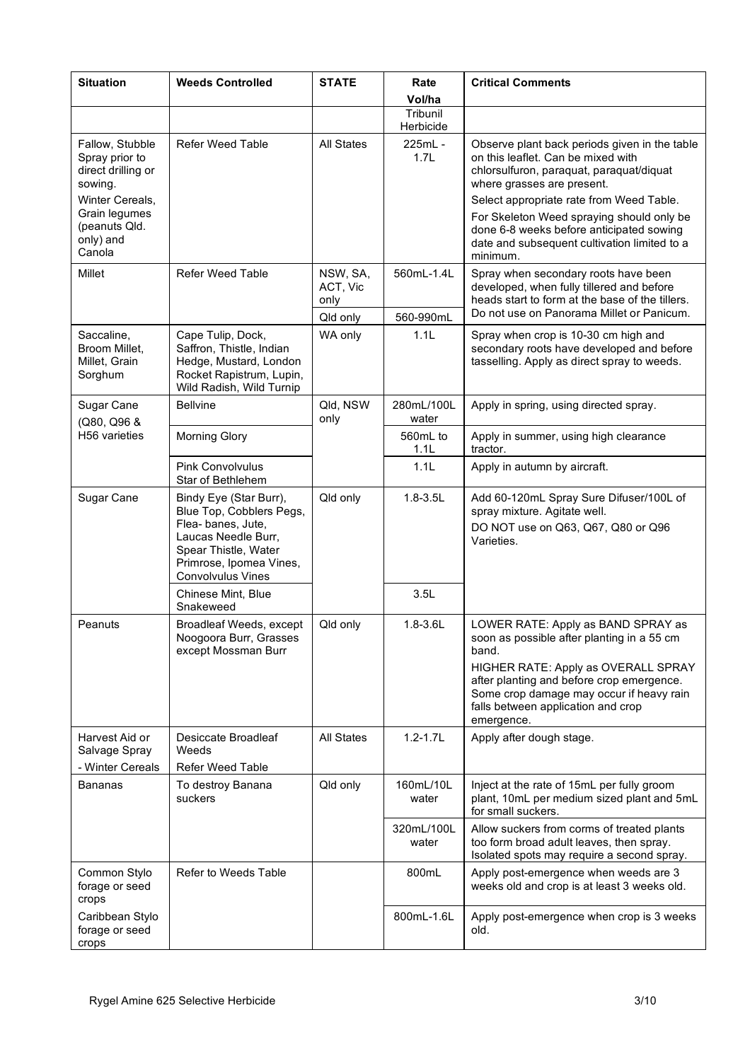| <b>Situation</b>                                                                                                                               | <b>Weeds Controlled</b>                                                                                                                                                       | <b>STATE</b>                 | Rate<br>Vol/ha          | <b>Critical Comments</b>                                                                                                                                                                                                                                                                                                                                       |
|------------------------------------------------------------------------------------------------------------------------------------------------|-------------------------------------------------------------------------------------------------------------------------------------------------------------------------------|------------------------------|-------------------------|----------------------------------------------------------------------------------------------------------------------------------------------------------------------------------------------------------------------------------------------------------------------------------------------------------------------------------------------------------------|
|                                                                                                                                                |                                                                                                                                                                               |                              | Tribunil<br>Herbicide   |                                                                                                                                                                                                                                                                                                                                                                |
| Fallow, Stubble<br>Spray prior to<br>direct drilling or<br>sowing.<br>Winter Cereals,<br>Grain legumes<br>(peanuts Qld.<br>only) and<br>Canola | <b>Refer Weed Table</b>                                                                                                                                                       | All States                   | 225mL -<br>1.7L         | Observe plant back periods given in the table<br>on this leaflet. Can be mixed with<br>chlorsulfuron, paraquat, paraquat/diquat<br>where grasses are present.<br>Select appropriate rate from Weed Table.<br>For Skeleton Weed spraying should only be<br>done 6-8 weeks before anticipated sowing<br>date and subsequent cultivation limited to a<br>minimum. |
| Millet                                                                                                                                         | <b>Refer Weed Table</b>                                                                                                                                                       | NSW, SA,<br>ACT, Vic<br>only | 560mL-1.4L<br>560-990mL | Spray when secondary roots have been<br>developed, when fully tillered and before<br>heads start to form at the base of the tillers.<br>Do not use on Panorama Millet or Panicum.                                                                                                                                                                              |
| Saccaline,<br>Broom Millet,<br>Millet. Grain<br>Sorghum                                                                                        | Cape Tulip, Dock,<br>Saffron, Thistle, Indian<br>Hedge, Mustard, London<br>Rocket Rapistrum, Lupin,<br>Wild Radish, Wild Turnip                                               | Qld only<br>WA only          | 1.1L                    | Spray when crop is 10-30 cm high and<br>secondary roots have developed and before<br>tasselling. Apply as direct spray to weeds.                                                                                                                                                                                                                               |
| Sugar Cane<br>(Q80, Q96 &                                                                                                                      | <b>Bellvine</b>                                                                                                                                                               | Qld, NSW<br>only             | 280mL/100L<br>water     | Apply in spring, using directed spray.                                                                                                                                                                                                                                                                                                                         |
| H56 varieties                                                                                                                                  | <b>Morning Glory</b>                                                                                                                                                          |                              | 560mL to<br>1.1L        | Apply in summer, using high clearance<br>tractor.                                                                                                                                                                                                                                                                                                              |
|                                                                                                                                                | <b>Pink Convolvulus</b><br>Star of Bethlehem                                                                                                                                  |                              | 1.1L                    | Apply in autumn by aircraft.                                                                                                                                                                                                                                                                                                                                   |
| Sugar Cane                                                                                                                                     | Bindy Eye (Star Burr),<br>Blue Top, Cobblers Pegs,<br>Flea-banes, Jute,<br>Laucas Needle Burr,<br>Spear Thistle, Water<br>Primrose, Ipomea Vines,<br><b>Convolvulus Vines</b> | Qld only                     | $1.8 - 3.5L$            | Add 60-120mL Spray Sure Difuser/100L of<br>spray mixture. Agitate well.<br>DO NOT use on Q63, Q67, Q80 or Q96<br>Varieties.                                                                                                                                                                                                                                    |
|                                                                                                                                                | Chinese Mint, Blue<br>Snakeweed                                                                                                                                               |                              | 3.5L                    |                                                                                                                                                                                                                                                                                                                                                                |
| Peanuts                                                                                                                                        | Broadleaf Weeds, except<br>Noogoora Burr, Grasses<br>except Mossman Burr                                                                                                      | Qld only                     | $1.8 - 3.6$ L           | LOWER RATE: Apply as BAND SPRAY as<br>soon as possible after planting in a 55 cm<br>band.<br>HIGHER RATE: Apply as OVERALL SPRAY<br>after planting and before crop emergence.<br>Some crop damage may occur if heavy rain<br>falls between application and crop<br>emergence.                                                                                  |
| Harvest Aid or<br>Salvage Spray<br>- Winter Cereals                                                                                            | Desiccate Broadleaf<br>Weeds<br><b>Refer Weed Table</b>                                                                                                                       | All States                   | $1.2 - 1.7L$            | Apply after dough stage.                                                                                                                                                                                                                                                                                                                                       |
| <b>Bananas</b>                                                                                                                                 | To destroy Banana<br>suckers                                                                                                                                                  | Qld only                     | 160mL/10L<br>water      | Inject at the rate of 15mL per fully groom<br>plant, 10mL per medium sized plant and 5mL<br>for small suckers.                                                                                                                                                                                                                                                 |
|                                                                                                                                                |                                                                                                                                                                               |                              | 320mL/100L<br>water     | Allow suckers from corms of treated plants<br>too form broad adult leaves, then spray.<br>Isolated spots may require a second spray.                                                                                                                                                                                                                           |
| Common Stylo<br>forage or seed<br>crops                                                                                                        | Refer to Weeds Table                                                                                                                                                          |                              | 800mL                   | Apply post-emergence when weeds are 3<br>weeks old and crop is at least 3 weeks old.                                                                                                                                                                                                                                                                           |
| Caribbean Stylo<br>forage or seed<br>crops                                                                                                     |                                                                                                                                                                               |                              | 800mL-1.6L              | Apply post-emergence when crop is 3 weeks<br>old.                                                                                                                                                                                                                                                                                                              |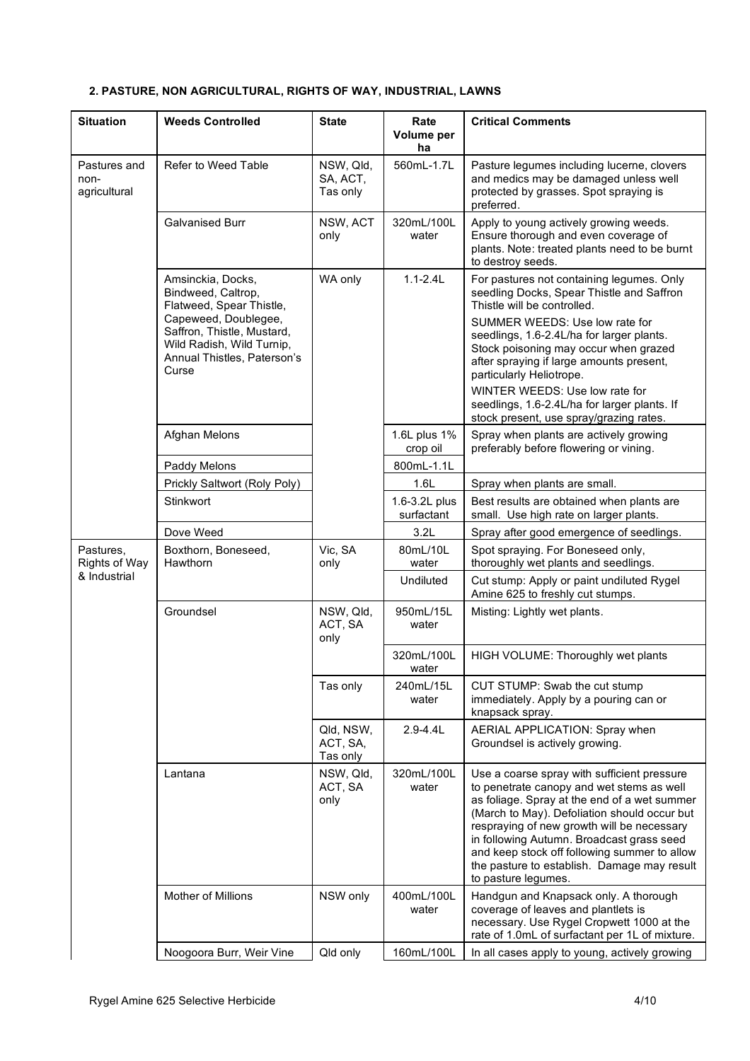| <b>Situation</b>                     | <b>Weeds Controlled</b>                                                                                                                                                                        | <b>State</b>                      | Rate<br>Volume per<br>ha    | <b>Critical Comments</b>                                                                                                                                                                                                                                                                                                                                                                                                                           |
|--------------------------------------|------------------------------------------------------------------------------------------------------------------------------------------------------------------------------------------------|-----------------------------------|-----------------------------|----------------------------------------------------------------------------------------------------------------------------------------------------------------------------------------------------------------------------------------------------------------------------------------------------------------------------------------------------------------------------------------------------------------------------------------------------|
| Pastures and<br>non-<br>agricultural | Refer to Weed Table                                                                                                                                                                            | NSW, Qld,<br>SA, ACT,<br>Tas only | 560mL-1.7L                  | Pasture legumes including lucerne, clovers<br>and medics may be damaged unless well<br>protected by grasses. Spot spraying is<br>preferred.                                                                                                                                                                                                                                                                                                        |
|                                      | <b>Galvanised Burr</b>                                                                                                                                                                         | NSW, ACT<br>only                  | 320mL/100L<br>water         | Apply to young actively growing weeds.<br>Ensure thorough and even coverage of<br>plants. Note: treated plants need to be burnt<br>to destroy seeds.                                                                                                                                                                                                                                                                                               |
|                                      | Amsinckia, Docks,<br>Bindweed, Caltrop,<br>Flatweed, Spear Thistle,<br>Capeweed, Doublegee,<br>Saffron, Thistle, Mustard,<br>Wild Radish, Wild Turnip,<br>Annual Thistles, Paterson's<br>Curse | WA only                           | $1.1 - 2.4L$                | For pastures not containing legumes. Only<br>seedling Docks, Spear Thistle and Saffron<br>Thistle will be controlled.<br>SUMMER WEEDS: Use low rate for<br>seedlings, 1.6-2.4L/ha for larger plants.<br>Stock poisoning may occur when grazed<br>after spraying if large amounts present,<br>particularly Heliotrope.<br>WINTER WEEDS: Use low rate for<br>seedlings, 1.6-2.4L/ha for larger plants. If<br>stock present, use spray/grazing rates. |
|                                      | Afghan Melons                                                                                                                                                                                  |                                   | 1.6L plus 1%<br>crop oil    | Spray when plants are actively growing<br>preferably before flowering or vining.                                                                                                                                                                                                                                                                                                                                                                   |
|                                      | Paddy Melons                                                                                                                                                                                   |                                   | 800mL-1.1L                  |                                                                                                                                                                                                                                                                                                                                                                                                                                                    |
|                                      | Prickly Saltwort (Roly Poly)                                                                                                                                                                   |                                   | 1.6L                        | Spray when plants are small.                                                                                                                                                                                                                                                                                                                                                                                                                       |
|                                      | Stinkwort                                                                                                                                                                                      |                                   | 1.6-3.2L plus<br>surfactant | Best results are obtained when plants are<br>small. Use high rate on larger plants.                                                                                                                                                                                                                                                                                                                                                                |
|                                      | Dove Weed                                                                                                                                                                                      |                                   | 3.2L                        | Spray after good emergence of seedlings.                                                                                                                                                                                                                                                                                                                                                                                                           |
| Pastures,<br>Rights of Way           | Boxthorn, Boneseed,<br>Hawthorn                                                                                                                                                                | Vic, SA<br>only                   | 80mL/10L<br>water           | Spot spraying. For Boneseed only,<br>thoroughly wet plants and seedlings.                                                                                                                                                                                                                                                                                                                                                                          |
| & Industrial                         |                                                                                                                                                                                                |                                   | Undiluted                   | Cut stump: Apply or paint undiluted Rygel<br>Amine 625 to freshly cut stumps.                                                                                                                                                                                                                                                                                                                                                                      |
|                                      | Groundsel                                                                                                                                                                                      | NSW, Qld,<br>ACT, SA<br>only      | 950mL/15L<br>water          | Misting: Lightly wet plants.                                                                                                                                                                                                                                                                                                                                                                                                                       |
|                                      |                                                                                                                                                                                                |                                   | 320mL/100L<br>water         | HIGH VOLUME: Thoroughly wet plants                                                                                                                                                                                                                                                                                                                                                                                                                 |
|                                      |                                                                                                                                                                                                | Tas only                          | 240mL/15L<br>water          | CUT STUMP: Swab the cut stump<br>immediately. Apply by a pouring can or<br>knapsack spray.                                                                                                                                                                                                                                                                                                                                                         |
|                                      |                                                                                                                                                                                                | Qld, NSW,<br>ACT, SA,<br>Tas only | $2.9 - 4.4L$                | AERIAL APPLICATION: Spray when<br>Groundsel is actively growing.                                                                                                                                                                                                                                                                                                                                                                                   |
|                                      | Lantana                                                                                                                                                                                        | NSW, Qld,<br>ACT, SA<br>only      | 320mL/100L<br>water         | Use a coarse spray with sufficient pressure<br>to penetrate canopy and wet stems as well<br>as foliage. Spray at the end of a wet summer<br>(March to May). Defoliation should occur but<br>respraying of new growth will be necessary<br>in following Autumn. Broadcast grass seed<br>and keep stock off following summer to allow<br>the pasture to establish. Damage may result<br>to pasture legumes.                                          |
|                                      | Mother of Millions                                                                                                                                                                             | NSW only                          | 400mL/100L<br>water         | Handgun and Knapsack only. A thorough<br>coverage of leaves and plantlets is<br>necessary. Use Rygel Cropwett 1000 at the<br>rate of 1.0mL of surfactant per 1L of mixture.                                                                                                                                                                                                                                                                        |
|                                      | Noogoora Burr, Weir Vine                                                                                                                                                                       | Qld only                          | 160mL/100L                  | In all cases apply to young, actively growing                                                                                                                                                                                                                                                                                                                                                                                                      |

# **2. PASTURE, NON AGRICULTURAL, RIGHTS OF WAY, INDUSTRIAL, LAWNS**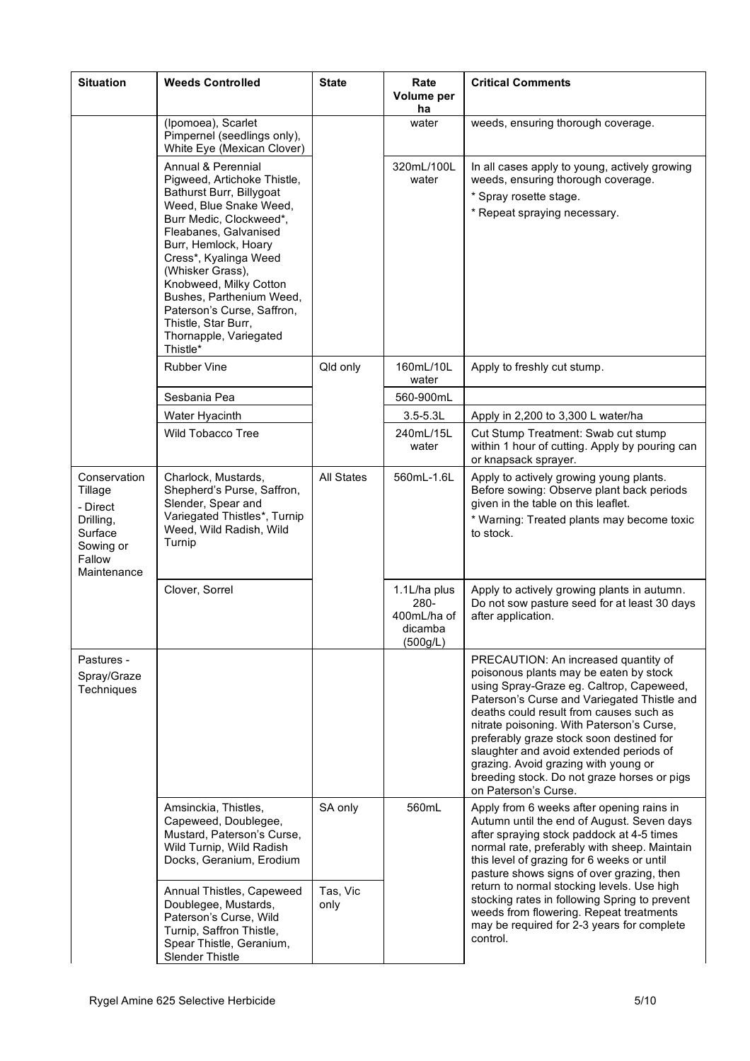| <b>Situation</b>                                                                                  | <b>Weeds Controlled</b>                                                                                                                                                                                                                                                                                                                                                           | <b>State</b>      | Rate<br>Volume per<br>ha                                      | <b>Critical Comments</b>                                                                                                                                                                                                                                                                                                                                                                                                                                                |
|---------------------------------------------------------------------------------------------------|-----------------------------------------------------------------------------------------------------------------------------------------------------------------------------------------------------------------------------------------------------------------------------------------------------------------------------------------------------------------------------------|-------------------|---------------------------------------------------------------|-------------------------------------------------------------------------------------------------------------------------------------------------------------------------------------------------------------------------------------------------------------------------------------------------------------------------------------------------------------------------------------------------------------------------------------------------------------------------|
|                                                                                                   | (Ipomoea), Scarlet<br>Pimpernel (seedlings only),<br>White Eye (Mexican Clover)                                                                                                                                                                                                                                                                                                   |                   | water                                                         | weeds, ensuring thorough coverage.                                                                                                                                                                                                                                                                                                                                                                                                                                      |
|                                                                                                   | Annual & Perennial<br>Pigweed, Artichoke Thistle,<br>Bathurst Burr, Billygoat<br>Weed, Blue Snake Weed,<br>Burr Medic, Clockweed*,<br>Fleabanes, Galvanised<br>Burr, Hemlock, Hoary<br>Cress*, Kyalinga Weed<br>(Whisker Grass),<br>Knobweed, Milky Cotton<br>Bushes, Parthenium Weed,<br>Paterson's Curse, Saffron,<br>Thistle, Star Burr,<br>Thornapple, Variegated<br>Thistle* |                   | 320mL/100L<br>water                                           | In all cases apply to young, actively growing<br>weeds, ensuring thorough coverage.<br>* Spray rosette stage.<br>* Repeat spraying necessary.                                                                                                                                                                                                                                                                                                                           |
|                                                                                                   | <b>Rubber Vine</b>                                                                                                                                                                                                                                                                                                                                                                | Qld only          | 160mL/10L<br>water                                            | Apply to freshly cut stump.                                                                                                                                                                                                                                                                                                                                                                                                                                             |
|                                                                                                   | Sesbania Pea                                                                                                                                                                                                                                                                                                                                                                      |                   | 560-900mL                                                     |                                                                                                                                                                                                                                                                                                                                                                                                                                                                         |
|                                                                                                   | Water Hyacinth                                                                                                                                                                                                                                                                                                                                                                    |                   | $3.5 - 5.3L$                                                  | Apply in 2,200 to 3,300 L water/ha                                                                                                                                                                                                                                                                                                                                                                                                                                      |
|                                                                                                   | Wild Tobacco Tree                                                                                                                                                                                                                                                                                                                                                                 |                   | 240mL/15L<br>water                                            | Cut Stump Treatment: Swab cut stump<br>within 1 hour of cutting. Apply by pouring can<br>or knapsack sprayer.                                                                                                                                                                                                                                                                                                                                                           |
| Conservation<br>Tillage<br>- Direct<br>Drilling,<br>Surface<br>Sowing or<br>Fallow<br>Maintenance | Charlock, Mustards,<br>Shepherd's Purse, Saffron,<br>Slender, Spear and<br>Variegated Thistles*, Turnip<br>Weed, Wild Radish, Wild<br>Turnip                                                                                                                                                                                                                                      | <b>All States</b> | 560mL-1.6L                                                    | Apply to actively growing young plants.<br>Before sowing: Observe plant back periods<br>given in the table on this leaflet.<br>* Warning: Treated plants may become toxic<br>to stock.                                                                                                                                                                                                                                                                                  |
|                                                                                                   | Clover, Sorrel                                                                                                                                                                                                                                                                                                                                                                    |                   | 1.1L/ha plus<br>$280 -$<br>400mL/ha of<br>dicamba<br>(500g/L) | Apply to actively growing plants in autumn.<br>Do not sow pasture seed for at least 30 days<br>after application.                                                                                                                                                                                                                                                                                                                                                       |
| Pastures -<br>Spray/Graze<br>Techniques                                                           |                                                                                                                                                                                                                                                                                                                                                                                   |                   |                                                               | PRECAUTION: An increased quantity of<br>poisonous plants may be eaten by stock<br>using Spray-Graze eg. Caltrop, Capeweed,<br>Paterson's Curse and Variegated Thistle and<br>deaths could result from causes such as<br>nitrate poisoning. With Paterson's Curse,<br>preferably graze stock soon destined for<br>slaughter and avoid extended periods of<br>grazing. Avoid grazing with young or<br>breeding stock. Do not graze horses or pigs<br>on Paterson's Curse. |
|                                                                                                   | Amsinckia, Thistles,<br>Capeweed, Doublegee,<br>Mustard, Paterson's Curse,<br>Wild Turnip, Wild Radish<br>Docks, Geranium, Erodium                                                                                                                                                                                                                                                | SA only           | 560mL                                                         | Apply from 6 weeks after opening rains in<br>Autumn until the end of August. Seven days<br>after spraying stock paddock at 4-5 times<br>normal rate, preferably with sheep. Maintain<br>this level of grazing for 6 weeks or until<br>pasture shows signs of over grazing, then                                                                                                                                                                                         |
|                                                                                                   | Annual Thistles, Capeweed<br>Doublegee, Mustards,<br>Paterson's Curse, Wild<br>Turnip, Saffron Thistle,<br>Spear Thistle, Geranium,<br><b>Slender Thistle</b>                                                                                                                                                                                                                     | Tas, Vic<br>only  |                                                               | return to normal stocking levels. Use high<br>stocking rates in following Spring to prevent<br>weeds from flowering. Repeat treatments<br>may be required for 2-3 years for complete<br>control.                                                                                                                                                                                                                                                                        |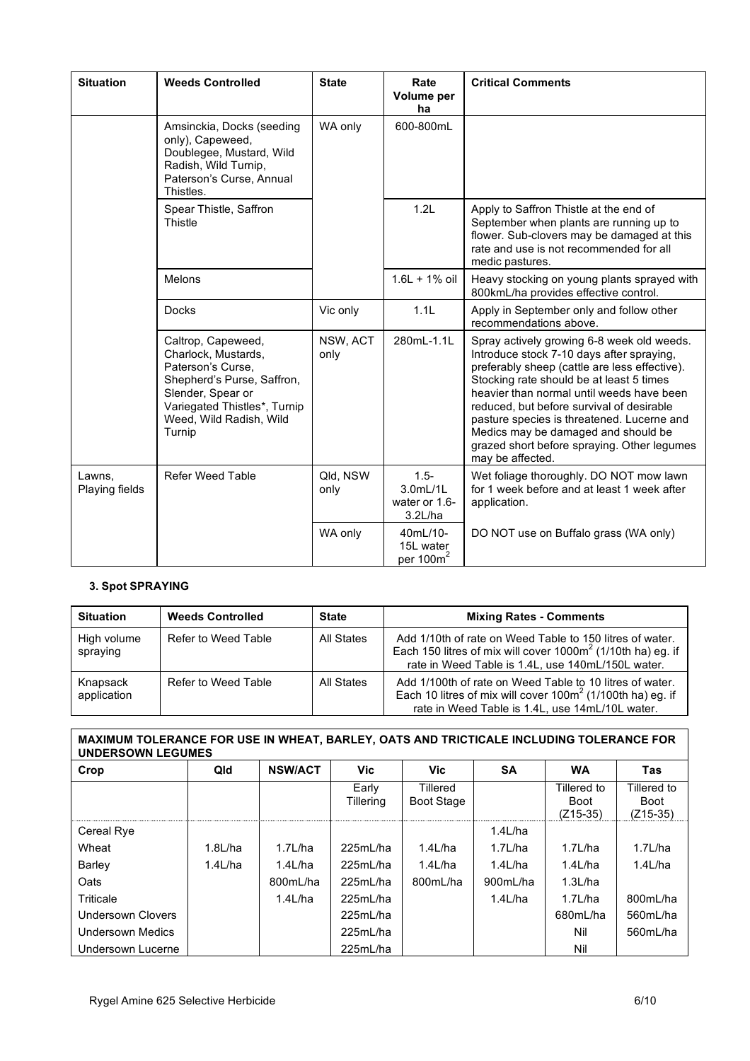| <b>Situation</b>         | <b>Weeds Controlled</b>                                                                                                                                                                | <b>State</b>     | Rate<br>Volume per<br>ha                        | <b>Critical Comments</b>                                                                                                                                                                                                                                                                                                                                                                                                               |
|--------------------------|----------------------------------------------------------------------------------------------------------------------------------------------------------------------------------------|------------------|-------------------------------------------------|----------------------------------------------------------------------------------------------------------------------------------------------------------------------------------------------------------------------------------------------------------------------------------------------------------------------------------------------------------------------------------------------------------------------------------------|
|                          | Amsinckia, Docks (seeding<br>only), Capeweed,<br>Doublegee, Mustard, Wild<br>Radish, Wild Turnip,<br>Paterson's Curse, Annual<br>Thistles.                                             | WA only          | 600-800mL                                       |                                                                                                                                                                                                                                                                                                                                                                                                                                        |
|                          | Spear Thistle, Saffron<br>Thistle                                                                                                                                                      |                  | 1.2L                                            | Apply to Saffron Thistle at the end of<br>September when plants are running up to<br>flower. Sub-clovers may be damaged at this<br>rate and use is not recommended for all<br>medic pastures.                                                                                                                                                                                                                                          |
|                          | Melons                                                                                                                                                                                 |                  | $1.6L + 1%$ oil                                 | Heavy stocking on young plants sprayed with<br>800kmL/ha provides effective control.                                                                                                                                                                                                                                                                                                                                                   |
|                          | <b>Docks</b>                                                                                                                                                                           | Vic only         | 1.1L                                            | Apply in September only and follow other<br>recommendations above.                                                                                                                                                                                                                                                                                                                                                                     |
|                          | Caltrop, Capeweed,<br>Charlock, Mustards,<br>Paterson's Curse.<br>Shepherd's Purse, Saffron,<br>Slender, Spear or<br>Variegated Thistles*, Turnip<br>Weed, Wild Radish, Wild<br>Turnip | NSW, ACT<br>only | 280mL-1.1L                                      | Spray actively growing 6-8 week old weeds.<br>Introduce stock 7-10 days after spraying,<br>preferably sheep (cattle are less effective).<br>Stocking rate should be at least 5 times<br>heavier than normal until weeds have been<br>reduced, but before survival of desirable<br>pasture species is threatened. Lucerne and<br>Medics may be damaged and should be<br>grazed short before spraying. Other legumes<br>may be affected. |
| Lawns,<br>Playing fields | <b>Refer Weed Table</b>                                                                                                                                                                | Qld, NSW<br>only | $1.5 -$<br>3.0mL/1L<br>water or 1.6-<br>3.2L/ha | Wet foliage thoroughly. DO NOT mow lawn<br>for 1 week before and at least 1 week after<br>application.                                                                                                                                                                                                                                                                                                                                 |
|                          |                                                                                                                                                                                        | WA only          | 40mL/10-<br>15L water<br>per $100m^2$           | DO NOT use on Buffalo grass (WA only)                                                                                                                                                                                                                                                                                                                                                                                                  |

# **3. Spot SPRAYING**

| <b>Situation</b>        | <b>Weeds Controlled</b> | <b>State</b> | <b>Mixing Rates - Comments</b>                                                                                                                                                  |
|-------------------------|-------------------------|--------------|---------------------------------------------------------------------------------------------------------------------------------------------------------------------------------|
| High volume<br>spraying | Refer to Weed Table     | All States   | Add 1/10th of rate on Weed Table to 150 litres of water.<br>Each 150 litres of mix will cover $1000m^2$ (1/10th ha) eg. if<br>rate in Weed Table is 1.4L, use 140mL/150L water. |
| Knapsack<br>application | Refer to Weed Table     | All States   | Add 1/100th of rate on Weed Table to 10 litres of water.<br>Each 10 litres of mix will cover $100m^2$ (1/100th ha) eg. if<br>rate in Weed Table is 1.4L, use 14mL/10L water.    |

# **MAXIMUM TOLERANCE FOR USE IN WHEAT, BARLEY, OATS AND TRICTICALE INCLUDING TOLERANCE FOR UNDERSOWN LEGUMES**

| Crop                    | Qld        | <b>NSW/ACT</b> | <b>Vic</b> | Vic.              | <b>SA</b>  | <b>WA</b>   | Tas         |
|-------------------------|------------|----------------|------------|-------------------|------------|-------------|-------------|
|                         |            |                | Early      | Tillered          |            | Tillered to | Tillered to |
|                         |            |                | Tillering  | <b>Boot Stage</b> |            | <b>Boot</b> | <b>Boot</b> |
|                         |            |                |            |                   |            | $(Z15-35)$  | (Z15-35)    |
| Cereal Rye              |            |                |            |                   | $1.4$ L/ha |             |             |
| Wheat                   | $1.8$ L/ha | $1.7$ L/ha     | 225mL/ha   | $1.4$ L/ha        | 1.7L/ha    | $1.7$ L/ha  | $1.7$ L/ha  |
| Barley                  | $1.4$ L/ha | $1.4$ L/ha     | 225mL/ha   | $1.4$ L/ha        | $1.4$ L/ha | $1.4$ L/ha  | $1.4$ L/ha  |
| Oats                    |            | 800mL/ha       | 225mL/ha   | 800mL/ha          | 900mL/ha   | 1.3L/ha     |             |
| Triticale               |            | $1.4$ L/ha     | 225mL/ha   |                   | $1.4$ L/ha | 1.7L/ha     | 800mL/ha    |
| Undersown Clovers       |            |                | 225mL/ha   |                   |            | 680mL/ha    | 560mL/ha    |
| <b>Undersown Medics</b> |            |                | 225mL/ha   |                   |            | Nil         | 560mL/ha    |
| Undersown Lucerne       |            |                | 225mL/ha   |                   |            | Nil         |             |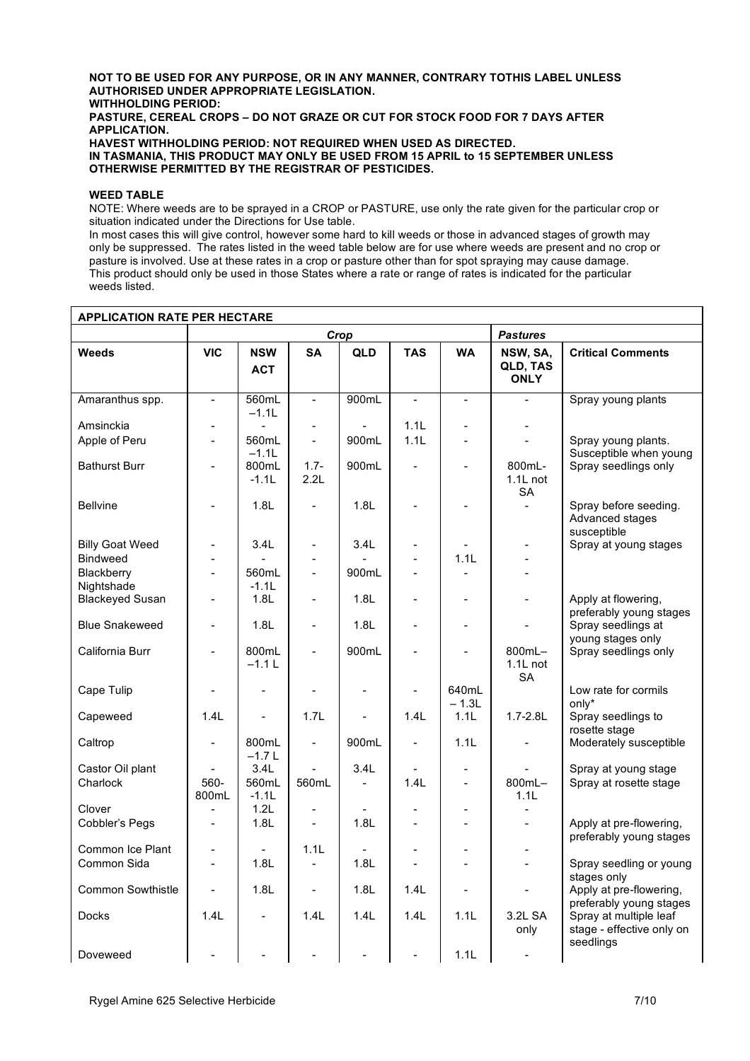#### **NOT TO BE USED FOR ANY PURPOSE, OR IN ANY MANNER, CONTRARY TOTHIS LABEL UNLESS AUTHORISED UNDER APPROPRIATE LEGISLATION. WITHHOLDING PERIOD: PASTURE, CEREAL CROPS – DO NOT GRAZE OR CUT FOR STOCK FOOD FOR 7 DAYS AFTER APPLICATION. HAVEST WITHHOLDING PERIOD: NOT REQUIRED WHEN USED AS DIRECTED. IN TASMANIA, THIS PRODUCT MAY ONLY BE USED FROM 15 APRIL to 15 SEPTEMBER UNLESS OTHERWISE PERMITTED BY THE REGISTRAR OF PESTICIDES.**

#### **WEED TABLE**

NOTE: Where weeds are to be sprayed in a CROP or PASTURE, use only the rate given for the particular crop or situation indicated under the Directions for Use table.

In most cases this will give control, however some hard to kill weeds or those in advanced stages of growth may only be suppressed. The rates listed in the weed table below are for use where weeds are present and no crop or pasture is involved. Use at these rates in a crop or pasture other than for spot spraying may cause damage. This product should only be used in those States where a rate or range of rates is indicated for the particular weeds listed.

| <b>APPLICATION RATE PER HECTARE</b> |                          |                          |                          |                |                |                  |                                     |                                                                  |
|-------------------------------------|--------------------------|--------------------------|--------------------------|----------------|----------------|------------------|-------------------------------------|------------------------------------------------------------------|
|                                     | Crop                     |                          |                          |                |                |                  | <b>Pastures</b>                     |                                                                  |
| <b>Weeds</b>                        | <b>VIC</b>               | <b>NSW</b><br><b>ACT</b> | <b>SA</b>                | QLD            | <b>TAS</b>     | <b>WA</b>        | NSW, SA,<br>QLD, TAS<br><b>ONLY</b> | <b>Critical Comments</b>                                         |
| Amaranthus spp.                     | $\equiv$                 | 560mL<br>$-1.1L$         | $\mathbf{r}$             | 900mL          | $\overline{a}$ | $\blacksquare$   | $\overline{a}$                      | Spray young plants                                               |
| Amsinckia                           | $\overline{\phantom{a}}$ |                          | $\blacksquare$           |                | 1.1L           | $\overline{a}$   |                                     |                                                                  |
| Apple of Peru                       | $\blacksquare$           | 560mL<br>$-1.1L$         | $\blacksquare$           | 900mL          | 1.1L           | $\overline{a}$   | $\overline{a}$                      | Spray young plants.<br>Susceptible when young                    |
| <b>Bathurst Burr</b>                | $\blacksquare$           | 800mL<br>$-1.1L$         | $1.7 -$<br>2.2L          | 900mL          | $\overline{a}$ | $\overline{a}$   | 800mL-<br>$1.1L$ not<br><b>SA</b>   | Spray seedlings only                                             |
| <b>Bellvine</b>                     |                          | 1.8L                     | $\blacksquare$           | 1.8L           |                |                  | $\overline{\phantom{a}}$            | Spray before seeding.<br>Advanced stages<br>susceptible          |
| <b>Billy Goat Weed</b>              | $\overline{\phantom{a}}$ | 3.4L                     | $\overline{a}$           | 3.4L           |                |                  | $\overline{a}$                      | Spray at young stages                                            |
| <b>Bindweed</b>                     | $\overline{a}$           |                          |                          |                | $\overline{a}$ | 1.1L             |                                     |                                                                  |
| Blackberry<br>Nightshade            | $\blacksquare$           | 560mL<br>$-1.1L$         | $\Box$                   | 900mL          | $\overline{a}$ |                  |                                     |                                                                  |
| <b>Blackeyed Susan</b>              | $\blacksquare$           | 1.8L                     | $\overline{a}$           | 1.8L           |                |                  |                                     | Apply at flowering,<br>preferably young stages                   |
| <b>Blue Snakeweed</b>               | $\blacksquare$           | 1.8L                     | $\blacksquare$           | 1.8L           |                |                  | $\blacksquare$                      | Spray seedlings at<br>young stages only                          |
| California Burr                     |                          | 800mL<br>$-1.1 L$        | $\blacksquare$           | 900mL          |                |                  | 800mL-<br>$1.1L$ not<br><b>SA</b>   | Spray seedlings only                                             |
| Cape Tulip                          | $\overline{\phantom{a}}$ | $\overline{a}$           | $\blacksquare$           |                |                | 640mL<br>$-1.3L$ |                                     | Low rate for cormils<br>only*                                    |
| Capeweed                            | 1.4L                     | $\blacksquare$           | 1.7L                     | $\overline{a}$ | 1.4L           | 1.1L             | $1.7 - 2.8L$                        | Spray seedlings to<br>rosette stage                              |
| Caltrop                             |                          | 800mL<br>$-1.7L$         | $\overline{a}$           | 900mL          | $\overline{a}$ | 1.1L             | $\overline{a}$                      | Moderately susceptible                                           |
| Castor Oil plant                    |                          | 3.4L                     |                          | 3.4L           |                | $\blacksquare$   |                                     | Spray at young stage                                             |
| Charlock                            | 560-<br>800mL            | 560mL<br>$-1.1L$         | 560mL                    | $\mathbf{r}$   | 1.4L           | $\mathbf{r}$     | 800mL-<br>1.1L                      | Spray at rosette stage                                           |
| Clover                              |                          | 1.2L                     |                          |                |                | $\blacksquare$   |                                     |                                                                  |
| Cobbler's Pegs                      | $\overline{a}$           | 1.8L                     | $\blacksquare$           | 1.8L           |                |                  |                                     | Apply at pre-flowering,<br>preferably young stages               |
| Common Ice Plant                    |                          |                          | 1.1L                     |                |                |                  |                                     |                                                                  |
| Common Sida                         | $\overline{a}$           | 1.8L                     | $\overline{\phantom{a}}$ | 1.8L           | $\overline{a}$ | L.               |                                     | Spray seedling or young<br>stages only                           |
| <b>Common Sowthistle</b>            |                          | 1.8L                     | $\blacksquare$           | 1.8L           | 1.4L           |                  |                                     | Apply at pre-flowering,<br>preferably young stages               |
| <b>Docks</b>                        | 1.4L                     | $\overline{a}$           | 1.4L                     | 1.4L           | 1.4L           | 1.1L             | 3.2L SA<br>only                     | Spray at multiple leaf<br>stage - effective only on<br>seedlings |
| Doveweed                            |                          |                          |                          |                | $\overline{a}$ | 1.1L             |                                     |                                                                  |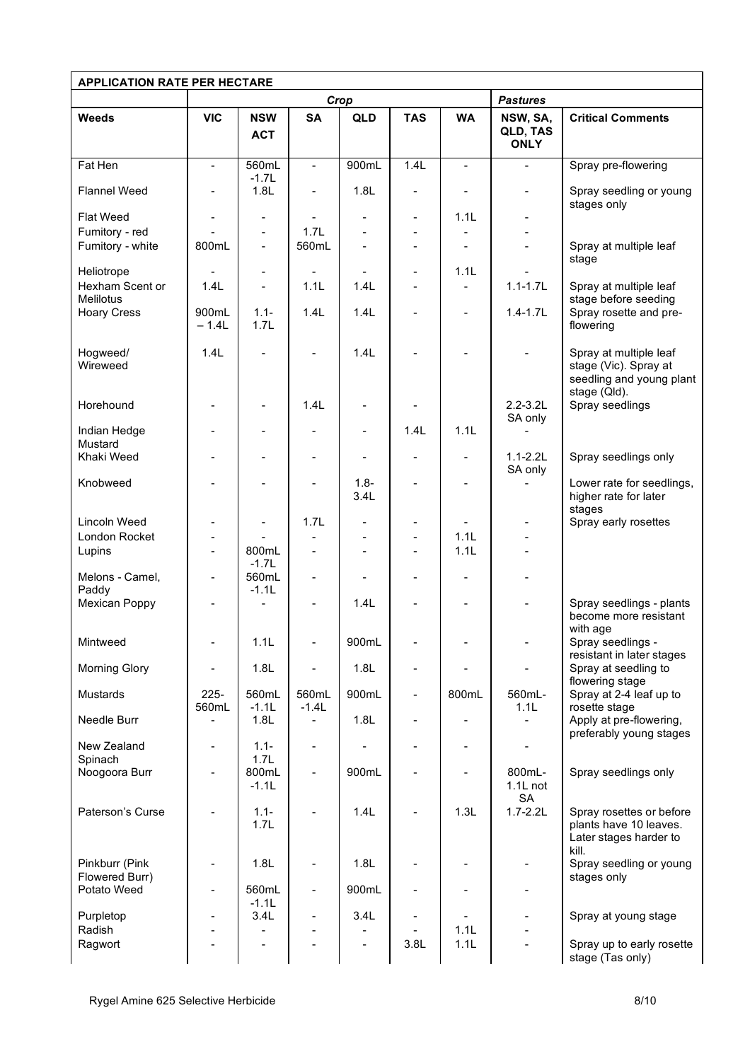| <b>APPLICATION RATE PER HECTARE</b>    |                                   |                          |                                         |                          |                          |                |                                     |                                                                                       |  |
|----------------------------------------|-----------------------------------|--------------------------|-----------------------------------------|--------------------------|--------------------------|----------------|-------------------------------------|---------------------------------------------------------------------------------------|--|
|                                        | Crop                              |                          |                                         |                          |                          |                | <b>Pastures</b>                     |                                                                                       |  |
| <b>Weeds</b>                           | <b>VIC</b>                        | <b>NSW</b><br><b>ACT</b> | <b>SA</b>                               | <b>QLD</b>               | <b>TAS</b>               | <b>WA</b>      | NSW, SA,<br>QLD, TAS<br><b>ONLY</b> | <b>Critical Comments</b>                                                              |  |
| Fat Hen                                | $\blacksquare$                    | 560mL<br>$-1.7L$         | $\mathbf{r}$                            | 900mL                    | 1.4L                     | $\blacksquare$ | $\overline{a}$                      | Spray pre-flowering                                                                   |  |
| <b>Flannel Weed</b>                    | $\blacksquare$                    | 1.8L                     | $\overline{\phantom{a}}$                | 1.8L                     | $\blacksquare$           | $\blacksquare$ | $\overline{\phantom{m}}$            | Spray seedling or young<br>stages only                                                |  |
| <b>Flat Weed</b>                       | $\blacksquare$                    | $\overline{\phantom{a}}$ | $\overline{\phantom{a}}$                | $\overline{\phantom{a}}$ | $\blacksquare$           | 1.1L           |                                     |                                                                                       |  |
| Fumitory - red                         |                                   | $\blacksquare$           | 1.7L                                    |                          |                          |                |                                     |                                                                                       |  |
| Fumitory - white                       | 800mL                             | $\blacksquare$           | 560mL                                   |                          |                          |                |                                     | Spray at multiple leaf<br>stage                                                       |  |
| Heliotrope                             |                                   | $\blacksquare$           |                                         |                          | $\blacksquare$           | 1.1L           |                                     |                                                                                       |  |
| Hexham Scent or                        | 1.4L                              | $\blacksquare$           | 1.1L                                    | 1.4L                     |                          |                | $1.1 - 1.7L$                        | Spray at multiple leaf                                                                |  |
| <b>Melilotus</b><br><b>Hoary Cress</b> | 900mL<br>$-1.4L$                  | $1.1 -$<br>1.7L          | 1.4L                                    | 1.4L                     | $\overline{a}$           | $\blacksquare$ | $1.4 - 1.7L$                        | stage before seeding<br>Spray rosette and pre-<br>flowering                           |  |
| Hogweed/<br>Wireweed                   | 1.4L                              |                          |                                         | 1.4L                     |                          |                |                                     | Spray at multiple leaf<br>stage (Vic). Spray at<br>seedling and young plant           |  |
| Horehound                              |                                   |                          | 1.4L                                    |                          |                          |                | $2.2 - 3.2$ L<br>SA only            | stage (Qld).<br>Spray seedlings                                                       |  |
| Indian Hedge                           |                                   |                          |                                         | $\overline{a}$           | 1.4L                     | 1.1L           |                                     |                                                                                       |  |
| Mustard<br>Khaki Weed                  |                                   |                          |                                         | $\overline{a}$           | $\blacksquare$           | $\blacksquare$ | $1.1 - 2.2L$<br>SA only             | Spray seedlings only                                                                  |  |
| Knobweed                               |                                   |                          |                                         | $1.8 -$<br>3.4L          |                          |                |                                     | Lower rate for seedlings,<br>higher rate for later<br>stages                          |  |
| Lincoln Weed                           | ÷                                 | $\overline{\phantom{a}}$ | 1.7L                                    |                          |                          |                |                                     | Spray early rosettes                                                                  |  |
| London Rocket                          |                                   |                          |                                         |                          |                          | 1.1L           |                                     |                                                                                       |  |
| Lupins                                 | $\blacksquare$                    | 800mL<br>$-1.7L$         | $\overline{a}$                          |                          | $\blacksquare$           | 1.1L           |                                     |                                                                                       |  |
| Melons - Camel,<br>Paddy               | $\blacksquare$                    | 560mL<br>$-1.1L$         | $\overline{\phantom{a}}$                |                          | $\overline{\phantom{a}}$ | $\blacksquare$ |                                     |                                                                                       |  |
| Mexican Poppy                          |                                   |                          |                                         | 1.4L                     |                          |                |                                     | Spray seedlings - plants<br>become more resistant<br>with age                         |  |
| Mintweed                               |                                   | 1.1L                     |                                         | 900mL                    |                          |                |                                     | Spray seedlings -<br>resistant in later stages                                        |  |
| Morning Glory                          |                                   | 1.8L                     |                                         | 1.8L                     |                          |                |                                     | Spray at seedling to<br>flowering stage                                               |  |
| Mustards                               | $225 -$                           | 560mL                    | 560mL                                   | 900mL                    |                          | 800mL          | 560mL-                              | Spray at 2-4 leaf up to                                                               |  |
| Needle Burr                            | 560mL<br>$\overline{\phantom{0}}$ | $-1.1L$<br>1.8L          | $-1.4L$<br>$\qquad \qquad \blacksquare$ | 1.8L                     | $\overline{a}$           |                | 1.1L<br>÷                           | rosette stage<br>Apply at pre-flowering,<br>preferably young stages                   |  |
| New Zealand                            | $\blacksquare$                    | $1.1 -$                  | $\blacksquare$                          |                          |                          | $\blacksquare$ |                                     |                                                                                       |  |
| Spinach<br>Noogoora Burr               | ۳                                 | 1.7L<br>800mL<br>$-1.1L$ | $\blacksquare$                          | 900mL                    |                          |                | 800mL-<br>$1.1L$ not                | Spray seedlings only                                                                  |  |
| Paterson's Curse                       |                                   | $1.1 -$<br>1.7L          |                                         | 1.4L                     |                          | 1.3L           | <b>SA</b><br>$1.7 - 2.2L$           | Spray rosettes or before<br>plants have 10 leaves.<br>Later stages harder to<br>kill. |  |
| Pinkburr (Pink                         |                                   | 1.8L                     |                                         | 1.8L                     |                          |                |                                     | Spray seedling or young                                                               |  |
| Flowered Burr)<br>Potato Weed          | $\blacksquare$                    | 560mL                    | $\blacksquare$                          | 900mL                    |                          |                | $\blacksquare$                      | stages only                                                                           |  |
| Purpletop                              | ÷                                 | $-1.1L$<br>3.4L          | $\blacksquare$                          | 3.4L                     |                          |                |                                     | Spray at young stage                                                                  |  |
| Radish                                 |                                   |                          |                                         |                          |                          | 1.1L           |                                     |                                                                                       |  |
| Ragwort                                |                                   |                          |                                         |                          | 3.8L                     | 1.1L           |                                     | Spray up to early rosette<br>stage (Tas only)                                         |  |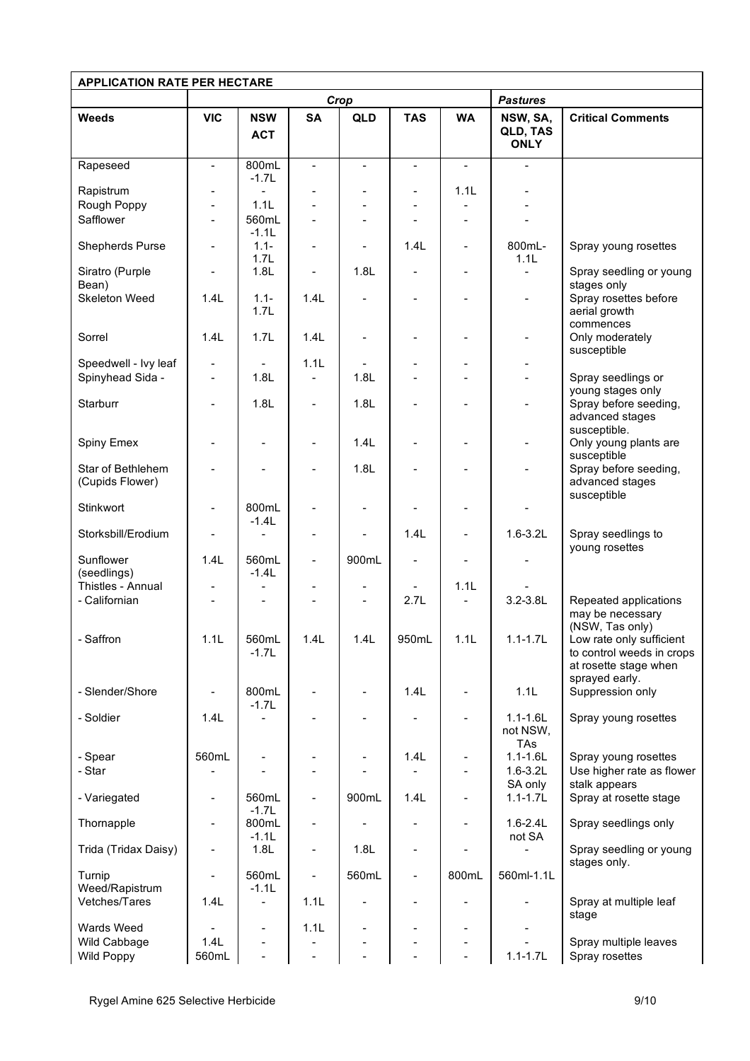| <b>APPLICATION RATE PER HECTARE</b>  |                |                                     |                          |            |                |           |                                     |                                                                                                                     |  |
|--------------------------------------|----------------|-------------------------------------|--------------------------|------------|----------------|-----------|-------------------------------------|---------------------------------------------------------------------------------------------------------------------|--|
|                                      | Crop           |                                     |                          |            |                |           | <b>Pastures</b>                     |                                                                                                                     |  |
| <b>Weeds</b>                         | <b>VIC</b>     | <b>NSW</b><br><b>ACT</b>            | <b>SA</b>                | <b>QLD</b> | <b>TAS</b>     | <b>WA</b> | NSW, SA,<br>QLD, TAS<br><b>ONLY</b> | <b>Critical Comments</b>                                                                                            |  |
| Rapeseed                             | $\blacksquare$ | 800mL<br>$-1.7L$                    | ÷.                       | ÷.         | $\sim$         | ÷.        | ÷.                                  |                                                                                                                     |  |
| Rapistrum                            |                | $\blacksquare$                      |                          |            |                | 1.1L      |                                     |                                                                                                                     |  |
| Rough Poppy                          | ÷,             | 1.1L                                |                          |            |                |           |                                     |                                                                                                                     |  |
| Safflower                            |                | 560mL<br>$-1.1L$                    | ÷.                       |            |                |           |                                     |                                                                                                                     |  |
| Shepherds Purse                      |                | $1.1 -$<br>1.7L                     |                          |            | 1.4L           |           | 800mL-<br>1.1L                      | Spray young rosettes                                                                                                |  |
| Siratro (Purple<br>Bean)             |                | 1.8L                                | $\overline{a}$           | 1.8L       |                |           |                                     | Spray seedling or young<br>stages only                                                                              |  |
| Skeleton Weed                        | 1.4L           | $1.1 -$<br>1.7L                     | 1.4L                     |            |                |           | $\overline{a}$                      | Spray rosettes before<br>aerial growth<br>commences                                                                 |  |
| Sorrel                               | 1.4L           | 1.7L                                | 1.4L                     |            |                |           |                                     | Only moderately<br>susceptible                                                                                      |  |
| Speedwell - Ivy leaf                 |                |                                     | 1.1L                     |            |                |           |                                     |                                                                                                                     |  |
| Spinyhead Sida -                     |                | 1.8L                                |                          | 1.8L       |                |           |                                     | Spray seedlings or<br>young stages only                                                                             |  |
| Starburr                             |                | 1.8L                                |                          | 1.8L       |                |           |                                     | Spray before seeding,<br>advanced stages<br>susceptible.                                                            |  |
| Spiny Emex                           |                |                                     |                          | 1.4L       |                |           |                                     | Only young plants are<br>susceptible                                                                                |  |
| Star of Bethlehem<br>(Cupids Flower) |                |                                     |                          | 1.8L       |                |           |                                     | Spray before seeding,<br>advanced stages<br>susceptible                                                             |  |
| Stinkwort                            |                | 800mL<br>$-1.4L$                    |                          |            |                |           |                                     |                                                                                                                     |  |
| Storksbill/Erodium                   |                |                                     |                          |            | 1.4L           |           | $1.6 - 3.2L$                        | Spray seedlings to                                                                                                  |  |
| Sunflower<br>(seedlings)             | 1.4L           | 560mL<br>$-1.4L$                    | $\overline{\phantom{a}}$ | 900mL      |                |           |                                     | young rosettes                                                                                                      |  |
| Thistles - Annual                    |                | ÷                                   |                          |            |                | 1.1L      |                                     |                                                                                                                     |  |
| - Californian                        |                |                                     |                          |            | 2.7L           | ÷.        | $3.2 - 3.8$ L                       | Repeated applications<br>may be necessary                                                                           |  |
| - Saffron                            | 1.1L           | 560mL<br>$-1.7L$                    | 1.4L                     | 1.4L       | 950mL          | 1.1L      | $1.1 - 1.7L$                        | (NSW, Tas only)<br>Low rate only sufficient<br>to control weeds in crops<br>at rosette stage when<br>sprayed early. |  |
| - Slender/Shore                      |                | 800mL<br>$-1.7L$                    |                          |            | 1.4L           |           | 1.1L                                | Suppression only                                                                                                    |  |
| - Soldier                            | 1.4L           |                                     |                          |            |                |           | $1.1 - 1.6L$<br>not NSW,<br>TAs     | Spray young rosettes                                                                                                |  |
| - Spear                              | 560mL          |                                     |                          |            | 1.4L           |           | $1.1 - 1.6L$                        | Spray young rosettes                                                                                                |  |
| - Star                               |                |                                     |                          |            |                |           | $1.6 - 3.2L$                        | Use higher rate as flower                                                                                           |  |
| - Variegated                         |                | 560mL                               |                          | 900mL      | 1.4L           |           | SA only<br>$1.1 - 1.7L$             | stalk appears<br>Spray at rosette stage                                                                             |  |
| Thornapple                           |                | $-1.7L$<br>800mL                    | $\overline{a}$           |            |                |           | $1.6 - 2.4L$                        | Spray seedlings only                                                                                                |  |
| Trida (Tridax Daisy)                 | $\blacksquare$ | $-1.1L$<br>1.8L                     | $\overline{a}$           | 1.8L       |                |           | not SA                              | Spray seedling or young                                                                                             |  |
| Turnip                               |                | 560mL                               |                          | 560mL      |                | 800mL     | 560ml-1.1L                          | stages only.                                                                                                        |  |
| Weed/Rapistrum<br>Vetches/Tares      | 1.4L           | $-1.1L$<br>$\overline{\phantom{m}}$ | 1.1L                     |            |                |           |                                     | Spray at multiple leaf                                                                                              |  |
| Wards Weed                           |                | $\blacksquare$                      | 1.1L                     |            | $\blacksquare$ |           | ۰                                   | stage                                                                                                               |  |
| Wild Cabbage                         | 1.4L           | $\overline{\phantom{a}}$            |                          |            |                |           |                                     | Spray multiple leaves                                                                                               |  |
| Wild Poppy                           | 560mL          | $\blacksquare$                      | $\overline{\phantom{0}}$ |            |                |           | $1.1 - 1.7L$                        | Spray rosettes                                                                                                      |  |